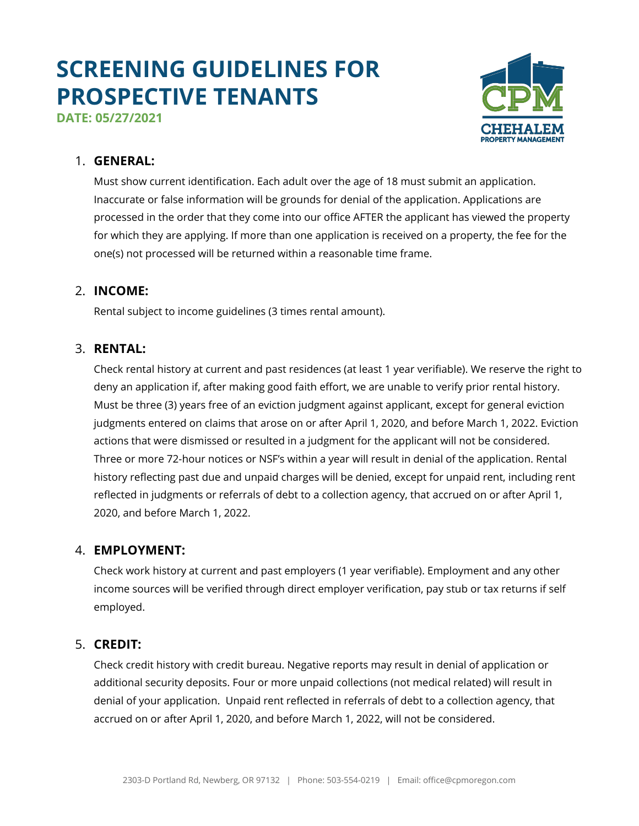# **SCREENING GUIDELINES FOR PROSPECTIVE TENANTS**





## 1. **GENERAL:**

Must show current identification. Each adult over the age of 18 must submit an application. Inaccurate or false information will be grounds for denial of the application. Applications are processed in the order that they come into our office AFTER the applicant has viewed the property for which they are applying. If more than one application is received on a property, the fee for the one(s) not processed will be returned within a reasonable time frame.

## 2. **INCOME:**

Rental subject to income guidelines (3 times rental amount).

## 3. **RENTAL:**

Check rental history at current and past residences (at least 1 year verifiable). We reserve the right to deny an application if, after making good faith effort, we are unable to verify prior rental history. Must be three (3) years free of an eviction judgment against applicant, except for general eviction judgments entered on claims that arose on or after April 1, 2020, and before March 1, 2022. Eviction actions that were dismissed or resulted in a judgment for the applicant will not be considered. Three or more 72-hour notices or NSF's within a year will result in denial of the application. Rental history reflecting past due and unpaid charges will be denied, except for unpaid rent, including rent reflected in judgments or referrals of debt to a collection agency, that accrued on or after April 1, 2020, and before March 1, 2022.

# 4. **EMPLOYMENT:**

Check work history at current and past employers (1 year verifiable). Employment and any other income sources will be verified through direct employer verification, pay stub or tax returns if self employed.

# 5. **CREDIT:**

Check credit history with credit bureau. Negative reports may result in denial of application or additional security deposits. Four or more unpaid collections (not medical related) will result in denial of your application. Unpaid rent reflected in referrals of debt to a collection agency, that accrued on or after April 1, 2020, and before March 1, 2022, will not be considered.